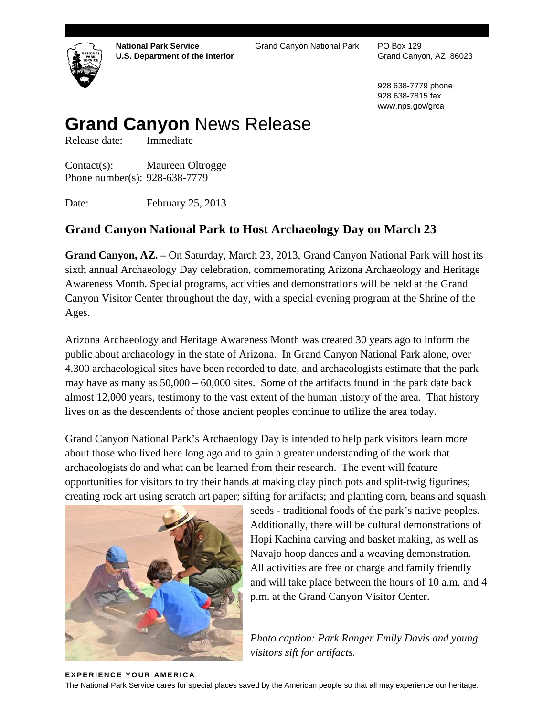

**National Park Service U.S. Department of the Interior**  Grand Canyon National Park PO Box 129

Grand Canyon, AZ 86023

928 638-7779 phone 928 638-7815 fax www.nps.gov/grca

## **Grand Canyon** News Release

Release date: Immediate

Contact(s): Maureen Oltrogge Phone number(s): 928-638-7779

Date: February 25, 2013

## **Grand Canyon National Park to Host Archaeology Day on March 23**

**Grand Canyon, AZ. –** On Saturday, March 23, 2013, Grand Canyon National Park will host its sixth annual Archaeology Day celebration, commemorating Arizona Archaeology and Heritage Awareness Month. Special programs, activities and demonstrations will be held at the Grand Canyon Visitor Center throughout the day, with a special evening program at the Shrine of the Ages.

Arizona Archaeology and Heritage Awareness Month was created 30 years ago to inform the public about archaeology in the state of Arizona. In Grand Canyon National Park alone, over 4.300 archaeological sites have been recorded to date, and archaeologists estimate that the park may have as many as 50,000 – 60,000 sites. Some of the artifacts found in the park date back almost 12,000 years, testimony to the vast extent of the human history of the area. That history lives on as the descendents of those ancient peoples continue to utilize the area today.

Grand Canyon National Park's Archaeology Day is intended to help park visitors learn more about those who lived here long ago and to gain a greater understanding of the work that archaeologists do and what can be learned from their research. The event will feature opportunities for visitors to try their hands at making clay pinch pots and split-twig figurines; creating rock art using scratch art paper; sifting for artifacts; and planting corn, beans and squash



seeds - traditional foods of the park's native peoples. Additionally, there will be cultural demonstrations of Hopi Kachina carving and basket making, as well as Navajo hoop dances and a weaving demonstration. All activities are free or charge and family friendly and will take place between the hours of 10 a.m. and 4 p.m. at the Grand Canyon Visitor Center.

*Photo caption: Park Ranger Emily Davis and young visitors sift for artifacts.* 

## **EXPERIENCE YOUR AMERICA**

The National Park Service cares for special places saved by the American people so that all may experience our heritage.